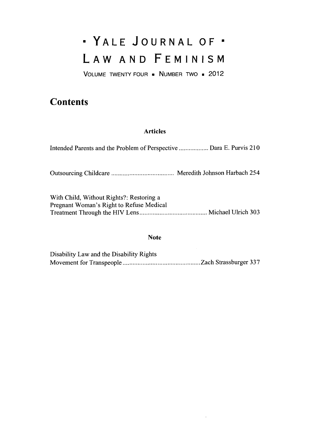# \* YALE **JOURNAL** OF\* LAW **AND FEMINISM**

**VOLUME** TWENTY FOUR **a NUMBER** TWO . 2012

## **Contents**

### **Articles**

| Intended Parents and the Problem of Perspective  Dara E. Purvis 210                  |  |
|--------------------------------------------------------------------------------------|--|
|                                                                                      |  |
| With Child, Without Rights?: Restoring a<br>Pregnant Woman's Right to Refuse Medical |  |

### Note

| Disability Law and the Disability Rights |  |
|------------------------------------------|--|
|                                          |  |

 $\sim$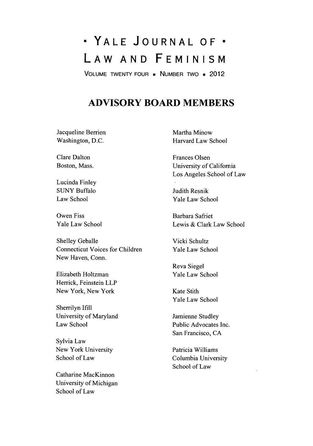# \* YALE **JOURNAL** OF\* LAW **AND FEMINISM**

**VOLUME** TWENTY FOUR **-** NUMBER TWO . 2012

### **ADVISORY BOARD MEMBERS**

Jacqueline Berrien Washington, **D.C.**

Clare Dalton Boston, Mass.

Lucinda Finley **SUNY** Buffalo Law School

Owen Fiss Yale Law School

Shelley Geballe Connecticut Voices for Children New Haven, Conn.

Elizabeth Holtzman Herrick, Feinstein LLP New York, New York

Sherrilyn **Ifill** University of Maryland Law School

Sylvia Law New York University School of Law

Catharine MacKinnon University of Michigan School of Law

Martha Minow Harvard Law School

Frances Olsen University of California Los Angeles School of Law

Judith Resnik Yale Law School

Barbara Safriet Lewis **&** Clark Law School

Vicki Schultz Yale Law School

Reva Siegel Yale Law School

Kate Stith Yale Law School

Jamienne Studley Public Advocates Inc. San Francisco, **CA**

Patricia Williams Columbia University School of Law